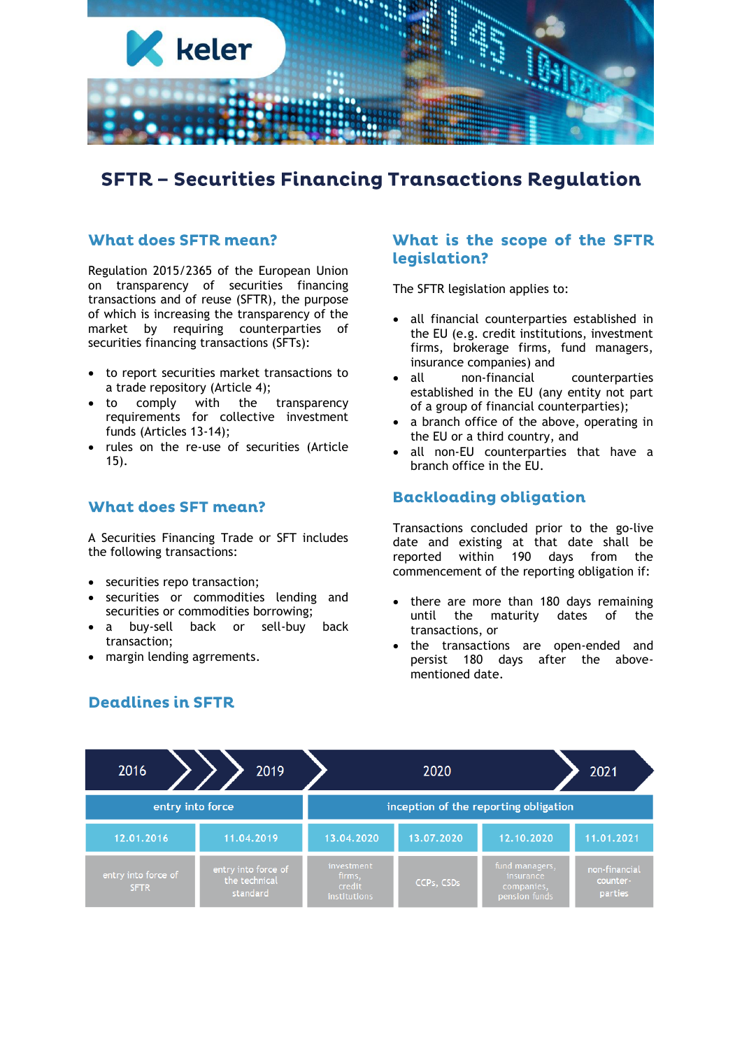

# **SFTR - Securities Financing Transactions Regulation**

## **What does SFTR mean?**

Regulation 2015/2365 of the European Union on transparency of securities financing transactions and of reuse (SFTR), the purpose of which is increasing the transparency of the market by requiring counterparties of securities financing transactions (SFTs):

- to report securities market transactions to a trade repository (Article 4);
- to comply with the transparency requirements for collective investment funds (Articles 13-14);
- rules on the re-use of securities (Article 15).

### **What does SFT mean?**

A Securities Financing Trade or SFT includes the following transactions:

- securities repo transaction;
- securities or commodities lending and securities or commodities borrowing;
- a buy-sell back or sell-buy back transaction;
- margin lending agrrements.

#### What is the scope of the SFTR legislation?

The SFTR legislation applies to:

- all financial counterparties established in the EU (e.g. credit institutions, investment firms, brokerage firms, fund managers, insurance companies) and
- all non-financial counterparties established in the EU (any entity not part of a group of financial counterparties);
- a branch office of the above, operating in the EU or a third country, and
- all non-EU counterparties that have a branch office in the EU.

## **Backloading obligation**

Transactions concluded prior to the go-live date and existing at that date shall be reported within 190 days from the commencement of the reporting obligation if:

- there are more than 180 days remaining until the maturity dates of the transactions, or
- the transactions are open-ended and persist 180 days after the abovementioned date.



## **Deadlines in SFTR**